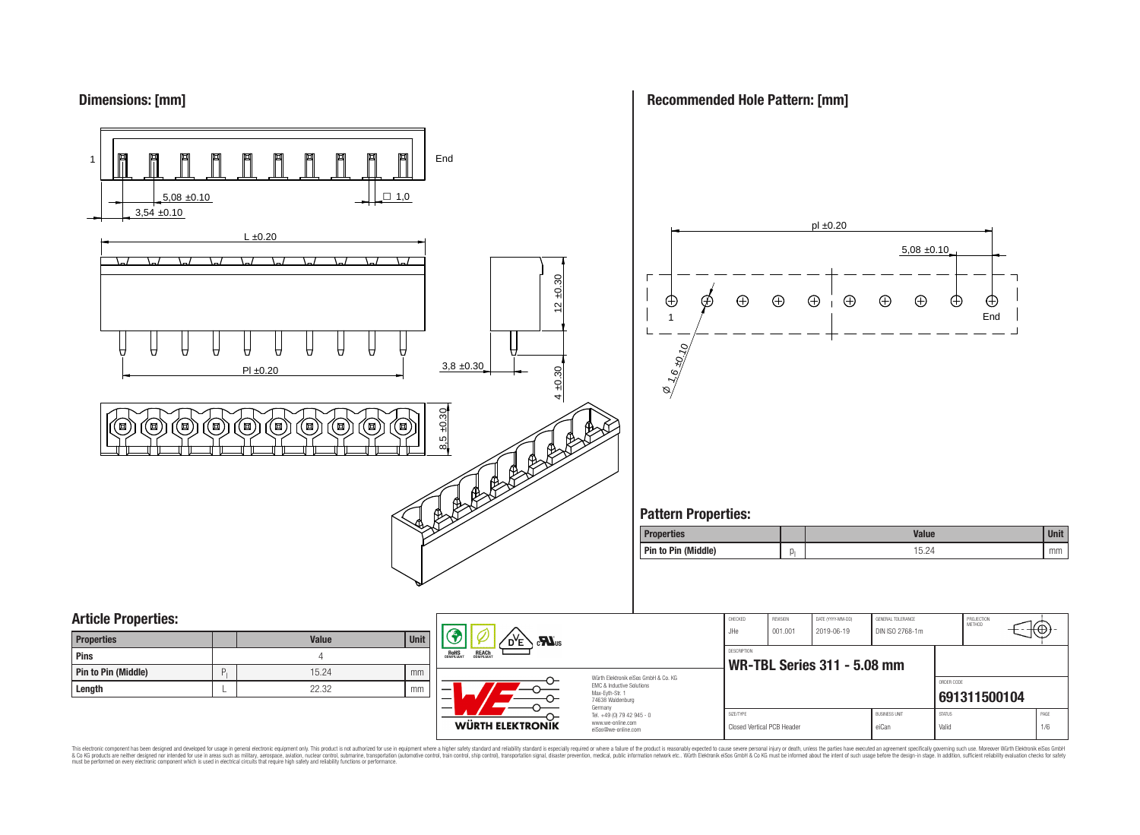## **Dimensions: [mm]**

**Recommended Hole Pattern: [mm]**



This electronic component has been designed and developed for usage in general electronic equipment only. This product is not authorized for use in equipment where a higher safely standard and reliability standard si espec & Ook product a label and the membed of the seasuch as marked and as which such a membed and the such assume that income in the seasuch and the simulation and the such assume that include to the such a membed and the such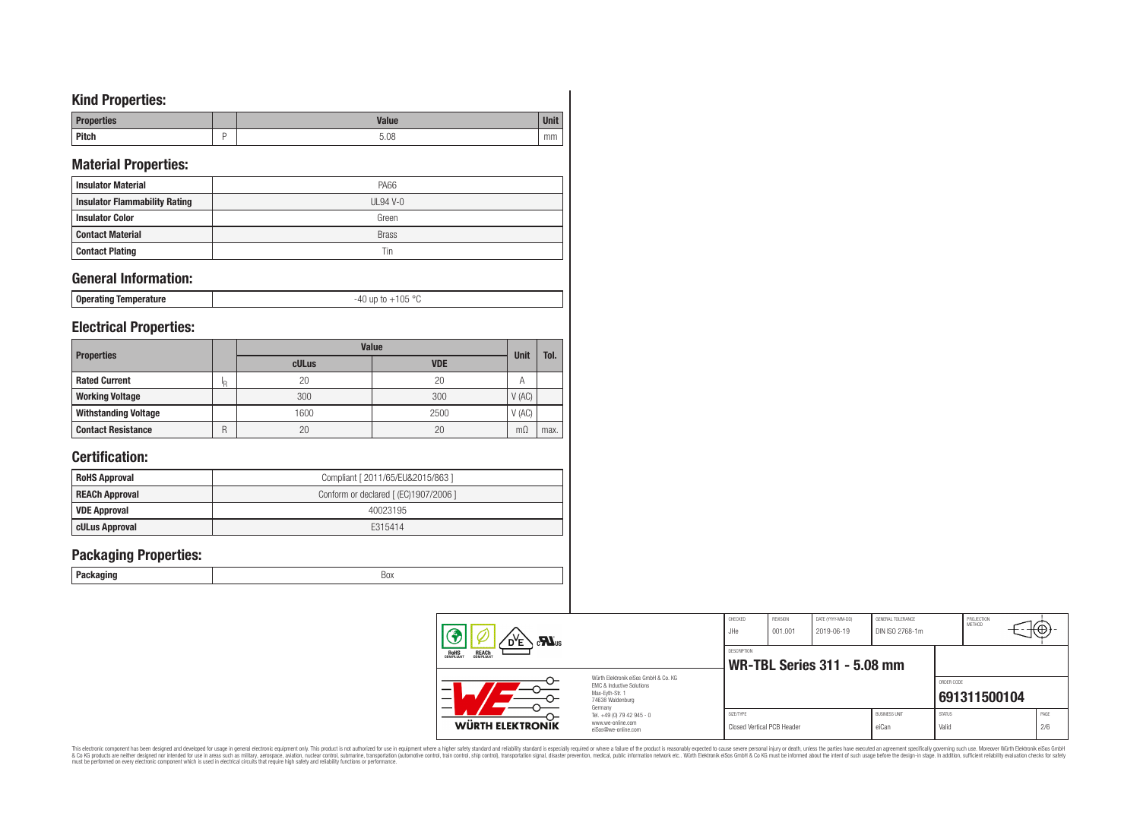# **Kind Properties:**

| <b><i><u>Jerties</u></i></b> | Value |    |
|------------------------------|-------|----|
| <b>Pitch</b>                 | 5.08  | mm |

# **Material Properties:**

| <b>Insulator Material</b>            | <b>PA66</b>  |
|--------------------------------------|--------------|
| <b>Insulator Flammability Rating</b> | $UL94$ V-0   |
| <b>Insulator Color</b>               | Green        |
| <b>Contact Material</b>              | <b>Brass</b> |
| <b>Contact Plating</b>               | Tin          |

# **General Information:**

| Operating Temperature | 105<br>$\circ$<br>1.112<br>LUO. |
|-----------------------|---------------------------------|
|-----------------------|---------------------------------|

## **Electrical Properties:**

| <b>Properties</b>           |    | <b>Value</b> |            |             |      |  |  |
|-----------------------------|----|--------------|------------|-------------|------|--|--|
|                             |    | cULus        | <b>VDE</b> | <b>Unit</b> | Tol. |  |  |
| <b>Rated Current</b>        | 'R | 20           | 20         |             |      |  |  |
| <b>Working Voltage</b>      |    | 300          | 300        | V(AC)       |      |  |  |
| <b>Withstanding Voltage</b> |    | 1600         | 2500       | V(AC)       |      |  |  |
| <b>Contact Resistance</b>   | R  | 20           | 20         | mΩ          | max. |  |  |

# **Certification:**

| <b>RoHS Approval</b>  | Compliant [ 2011/65/EU&2015/863 ]     |
|-----------------------|---------------------------------------|
| <b>REACh Approval</b> | Conform or declared [ (EC)1907/2006 ] |
| <b>VDE Approval</b>   | 40023195                              |
| cULus Approval        | F315414                               |

## **Packaging Properties:**

|  | . .<br>- - | <b>BOX</b> |
|--|------------|------------|
|--|------------|------------|

| $\sum_{\mathbf{u}}$                                   |                                                                                                                     | CHECKED<br>JHe                          | <b>REVISION</b><br>001.001 | DATE (YYYY-MM-DD)<br>2019-06-19    | GENERAL TOLERANCE<br>DIN ISO 2768-1m |                        | PROJECTION<br><b>METHOD</b> | ₩₩          |
|-------------------------------------------------------|---------------------------------------------------------------------------------------------------------------------|-----------------------------------------|----------------------------|------------------------------------|--------------------------------------|------------------------|-----------------------------|-------------|
| <b>REACH</b><br>COMPLIANT<br><b>ROHS</b><br>COMPLIANT |                                                                                                                     | DESCRIPTION                             |                            | <b>WR-TBL Series 311 - 5.08 mm</b> |                                      |                        |                             |             |
| _                                                     | Würth Elektronik eiSos GmbH & Co. KG<br>EMC & Inductive Solutions<br>Max-Evth-Str. 1<br>74638 Waldenburg<br>Germany |                                         |                            |                                    |                                      | ORDER CODE             | 691311500104                |             |
| WÜRTH ELEKTRONIK                                      | Tel. +49 (0) 79 42 945 - 0<br>www.we-online.com<br>eiSos@we-online.com                                              | SIZE/TYPE<br>Closed Vertical PCB Header |                            |                                    | <b>BUSINESS UNIT</b><br>eiCan        | <b>STATUS</b><br>Valid |                             | PAGE<br>2/6 |

This electronic component has been designed and developed for usage in general electronic equipment only. This product is not authorized for subserved requipment where a higher selection equipment where a higher selection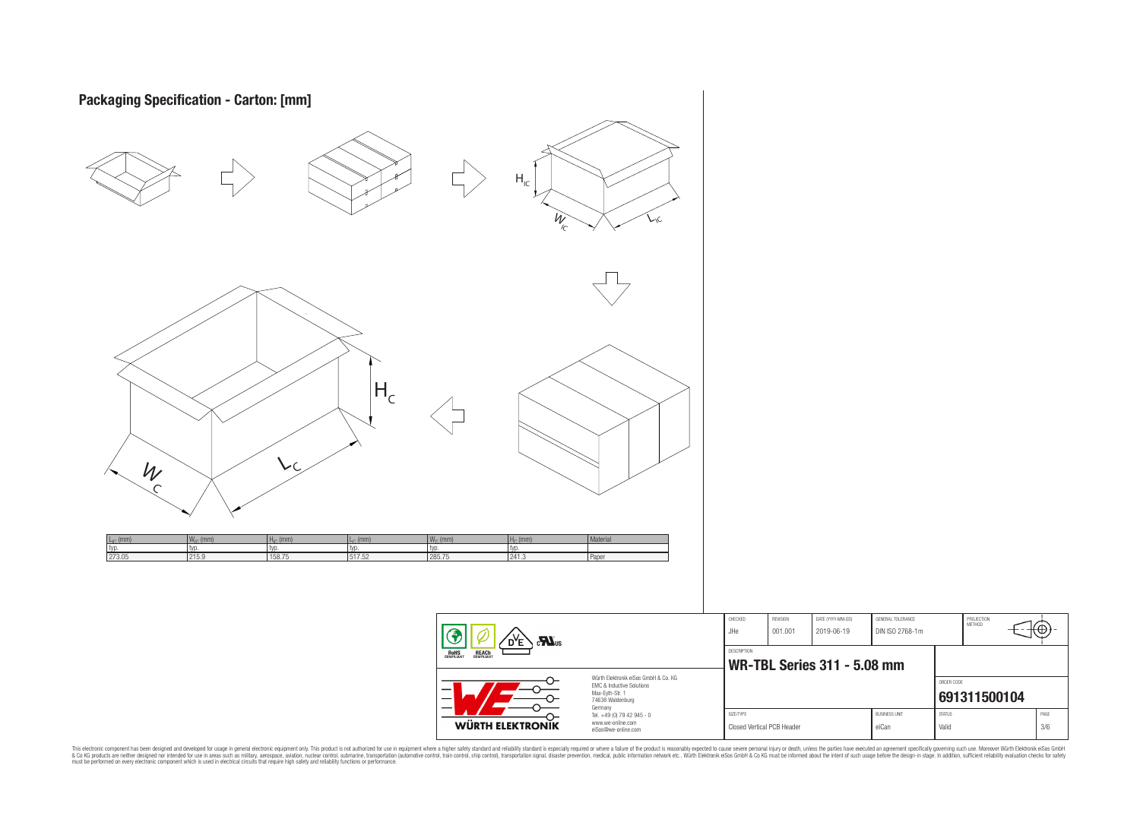| Packaging Specification - Carton: [mm]                                                                                                                                                                  |                                                                                                                                                                                                                                                                                                                                                                                                                                                                                                                                                                                                                      |                                                                                                                     |                                                            |                                 |                                      |                                                        |             |
|---------------------------------------------------------------------------------------------------------------------------------------------------------------------------------------------------------|----------------------------------------------------------------------------------------------------------------------------------------------------------------------------------------------------------------------------------------------------------------------------------------------------------------------------------------------------------------------------------------------------------------------------------------------------------------------------------------------------------------------------------------------------------------------------------------------------------------------|---------------------------------------------------------------------------------------------------------------------|------------------------------------------------------------|---------------------------------|--------------------------------------|--------------------------------------------------------|-------------|
|                                                                                                                                                                                                         | $\mathsf{H}_{\mathrm{IC}}$<br>$W_{\overline{C}}$                                                                                                                                                                                                                                                                                                                                                                                                                                                                                                                                                                     |                                                                                                                     |                                                            |                                 |                                      |                                                        |             |
|                                                                                                                                                                                                         |                                                                                                                                                                                                                                                                                                                                                                                                                                                                                                                                                                                                                      |                                                                                                                     |                                                            |                                 |                                      |                                                        |             |
| $\mathsf{H}_{\mathsf{c}}$<br>vc<br>W                                                                                                                                                                    |                                                                                                                                                                                                                                                                                                                                                                                                                                                                                                                                                                                                                      |                                                                                                                     |                                                            |                                 |                                      |                                                        |             |
| $\frac{W_{IC} (mm)}{typ.}$<br>215.9<br>$HIC$ (mm)<br>$L_{\text{c}}$ (mm)<br>$\frac{L_{IC} (mm)}{typ.}$<br>273.05<br>typ.<br>$\begin{array}{c}\n\text{typ.} \\ \overline{517.52}\n\end{array}$<br>158.75 | $W_c$ (mm)<br>typ.<br>285.75<br>$\frac{H_c \text{ (mm)}}{typ.}$<br>241.3                                                                                                                                                                                                                                                                                                                                                                                                                                                                                                                                             | Material<br>Paper                                                                                                   |                                                            |                                 |                                      |                                                        |             |
|                                                                                                                                                                                                         | $\fbox{ \begin{tabular}{ c c c } \hline \quad \quad & \quad \quad & \quad \quad \\ \hline \quad \quad & \quad \quad & \quad \quad \\ \hline \quad \quad & \quad \quad & \quad \quad \\ \hline \quad \quad & \quad \quad & \quad \quad \\ \hline \quad \quad & \quad \quad & \quad \quad \\ \hline \quad \quad & \quad \quad & \quad \quad \\ \hline \quad \quad & \quad \quad & \quad \quad \\ \hline \quad \quad & \quad \quad & \quad \quad \\ \hline \quad \quad & \quad \quad & \quad \quad \\ \hline \quad \quad & \quad \quad & \quad \quad \\ \hline \quad \quad & \quad \quad & \quad \quad \\ \hline \quad$ |                                                                                                                     | REVISION<br>CHECKED<br>$\sf JHe$<br>001.001<br>DESCRIPTION | DATE (YYYY-MM-DD)<br>2019-06-19 | GENERAL TOLERANCE<br>DIN ISO 2768-1m | PROJECTION<br>METHOD                                   | €           |
|                                                                                                                                                                                                         | ᢕ<br>$\rightarrow$                                                                                                                                                                                                                                                                                                                                                                                                                                                                                                                                                                                                   | Würth Elektronik eiSos GmbH & Co. KG<br>EMC & Inductive Solutions<br>Max-Eyth-Str. 1<br>74638 Waldenburg<br>Germany | WR-TBL Series 311 - 5.08 mm<br>SIZE/TYPE                   |                                 | <b>BUSINESS UNIT</b>                 | ORDER CODE<br>691311500104<br>$\text{STAT}\,\text{US}$ |             |
|                                                                                                                                                                                                         | <b>WÜRTH ELEKTRONIK</b>                                                                                                                                                                                                                                                                                                                                                                                                                                                                                                                                                                                              | Tel. +49 (0) 79 42 945 - 0<br>www.we-online.com<br>eiSos@we-online.com                                              | Closed Vertical PCB Header                                 |                                 | eiCan                                | Valid                                                  | PAGE<br>3/6 |

This electronic component has been designed and developed for usage in general electronic equipment only. This product is not authorized for subserved requipment where a higher selection equipment where a higher selection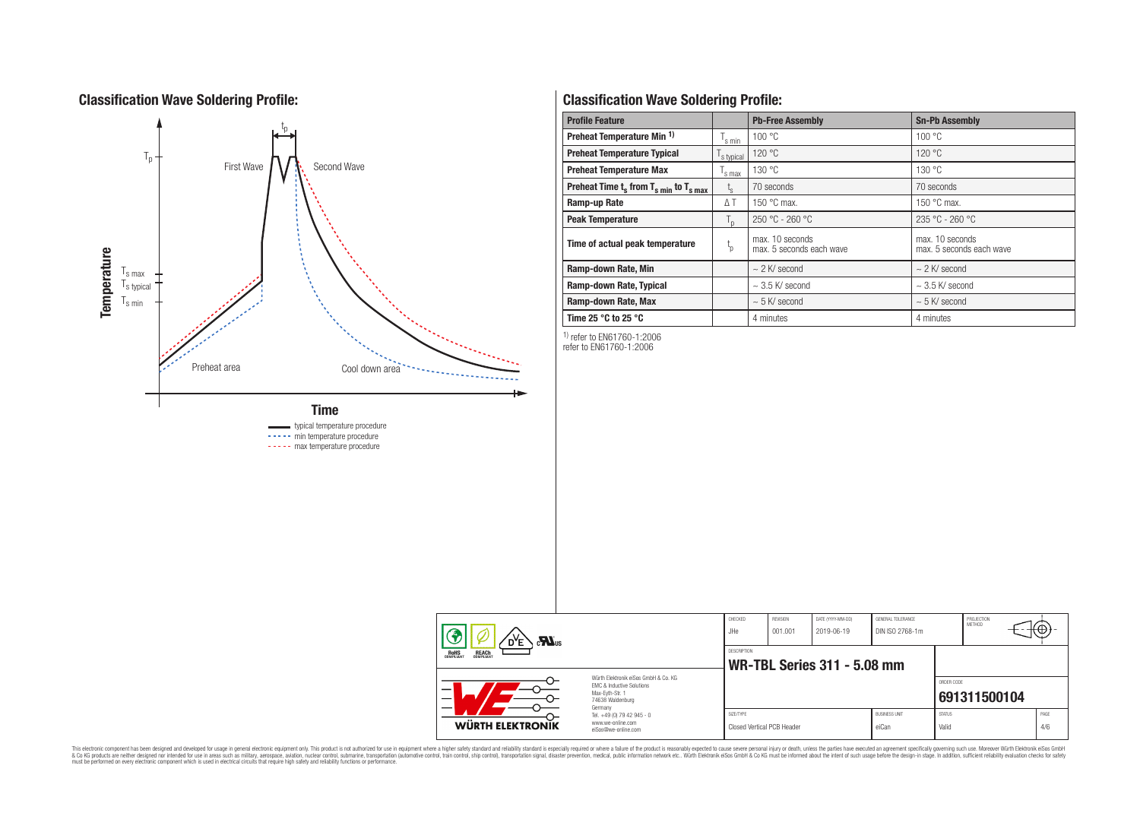# **Classification Wave Soldering Profile:**



----- min temperature procedure

----- max temperature procedure

# **Classification Wave Soldering Profile:**

| <b>Profile Feature</b>                             |                | <b>Pb-Free Assembly</b>                     | <b>Sn-Pb Assembly</b>                       |  |  |
|----------------------------------------------------|----------------|---------------------------------------------|---------------------------------------------|--|--|
| Preheat Temperature Min <sup>1)</sup>              | s min          | 100 °C                                      | 100 °C                                      |  |  |
| <b>Preheat Temperature Typical</b>                 | s typical      | 120 °C                                      | 120 °C                                      |  |  |
| <b>Preheat Temperature Max</b>                     | s max          | 130 °C                                      | 130 °C                                      |  |  |
| Preheat Time $t_s$ from $T_{s,min}$ to $T_{s,max}$ | $t_{s}$        | 70 seconds                                  | 70 seconds                                  |  |  |
| Ramp-up Rate                                       | ΔΤ             | 150 $\degree$ C max.                        | 150 $\degree$ C max.                        |  |  |
| <b>Peak Temperature</b>                            | $T_{\text{D}}$ | $250 °C - 260 °C$                           | $235 °C - 260 °C$                           |  |  |
| Time of actual peak temperature                    | $t_{p}$        | max. 10 seconds<br>max. 5 seconds each wave | max. 10 seconds<br>max. 5 seconds each wave |  |  |
| Ramp-down Rate, Min                                |                | $\sim$ 2 K/ second                          | $\sim$ 2 K/ second                          |  |  |
| Ramp-down Rate, Typical                            |                | $\sim$ 3.5 K/ second                        | $\sim$ 3.5 K/ second                        |  |  |
| Ramp-down Rate, Max                                |                | $\sim$ 5 K/ second                          | $\sim$ 5 K/ second                          |  |  |
| Time 25 $\degree$ C to 25 $\degree$ C              |                | 4 minutes                                   | 4 minutes                                   |  |  |

1) refer to EN61760-1:2006

refer to EN61760-1:2006

| $\sum_{\mathbf{u}}$                                                                                                |                                                                                   | CHECKED<br>JHe                          | REVISION<br>001.001 | DATE (YYYY-MM-DD)<br>2019-06-19 | GENERAL TOLERANCE<br>DIN ISO 2768-1m |                        | PROJECTION<br>METHOD |  | ₩           |
|--------------------------------------------------------------------------------------------------------------------|-----------------------------------------------------------------------------------|-----------------------------------------|---------------------|---------------------------------|--------------------------------------|------------------------|----------------------|--|-------------|
| <b>ROHS</b><br><b>REACH</b><br>COMPLIANT                                                                           |                                                                                   | DESCRIPTION                             |                     | WR-TBL Series 311 - 5.08 mm     |                                      |                        |                      |  |             |
| Würth Elektronik eiSos GmbH & Co. KG<br>EMC & Inductive Solutions<br>–<br>Max-Evth-Str. 1<br>_<br>74638 Waldenburg |                                                                                   |                                         |                     |                                 |                                      | ORDER CODE             | 691311500104         |  |             |
| <b>WÜRTH ELEKTRONIK</b>                                                                                            | Germany<br>Tel. +49 (0) 79 42 945 - 0<br>www.we-online.com<br>eiSos@we-online.com | SIZE/TYPE<br>Closed Vertical PCB Header |                     |                                 | <b>BUSINESS UNIT</b><br>eiCan        | <b>STATUS</b><br>Valid |                      |  | PAGE<br>4/6 |

This electronic component has been designed and developed for usage in general electronic equipment only. This product is not authorized for subserved requipment where a higher selection equipment where a higher selection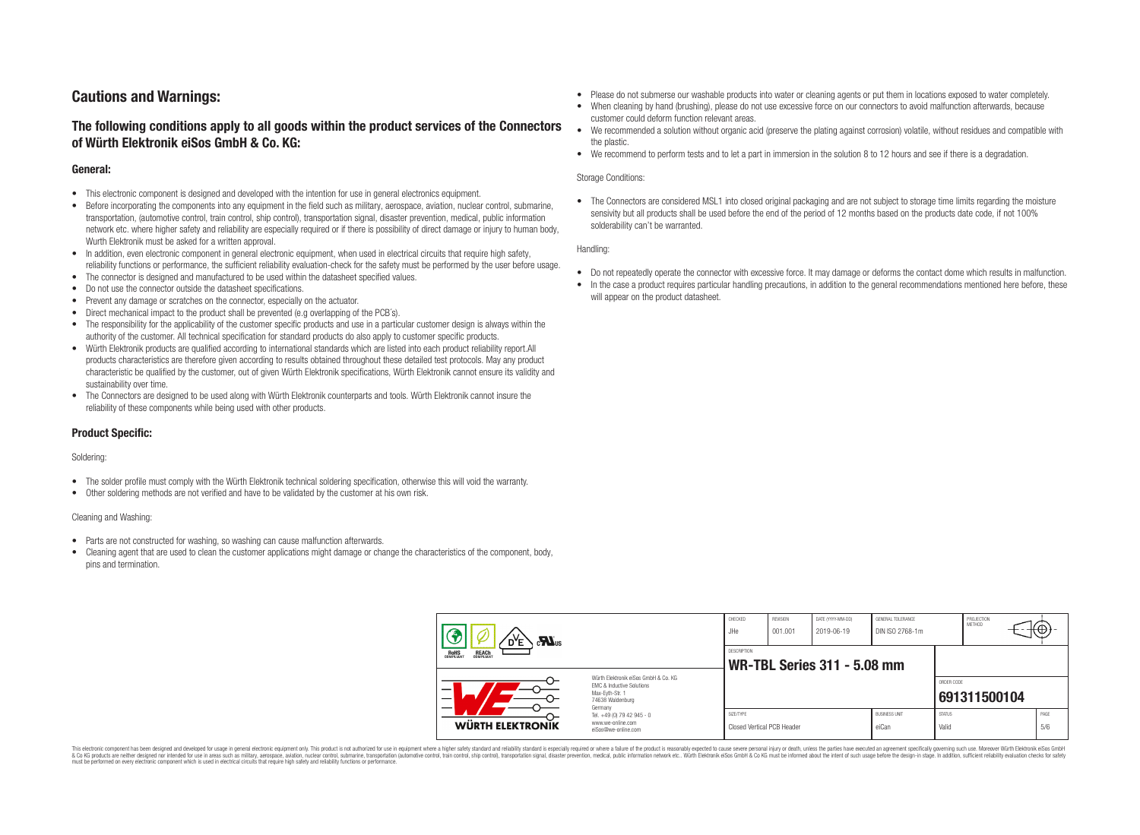# **Cautions and Warnings:**

## **The following conditions apply to all goods within the product services of the Connectors of Würth Elektronik eiSos GmbH & Co. KG:**

### **General:**

- This electronic component is designed and developed with the intention for use in general electronics equipment.
- Before incorporating the components into any equipment in the field such as military, aerospace, aviation, nuclear control, submarine, transportation, (automotive control, train control, ship control), transportation signal, disaster prevention, medical, public information network etc. where higher safety and reliability are especially required or if there is possibility of direct damage or injury to human body, Wurth Elektronik must be asked for a written approval.
- In addition, even electronic component in general electronic equipment, when used in electrical circuits that require high safety, reliability functions or performance, the sufficient reliability evaluation-check for the safety must be performed by the user before usage.
- The connector is designed and manufactured to be used within the datasheet specified values.
- Do not use the connector outside the datasheet specifications.
- Prevent any damage or scratches on the connector, especially on the actuator.
- Direct mechanical impact to the product shall be prevented (e.g overlapping of the PCB's).
- The responsibility for the applicability of the customer specific products and use in a particular customer design is always within the authority of the customer. All technical specification for standard products do also apply to customer specific products.
- Würth Elektronik products are qualified according to international standards which are listed into each product reliability report.All products characteristics are therefore given according to results obtained throughout these detailed test protocols. May any product characteristic be qualified by the customer, out of given Würth Elektronik specifications, Würth Elektronik cannot ensure its validity and sustainability over time.
- The Connectors are designed to be used along with Würth Elektronik counterparts and tools. Würth Elektronik cannot insure the reliability of these components while being used with other products.

### **Product Specific:**

#### Soldering:

- The solder profile must comply with the Würth Elektronik technical soldering specification, otherwise this will void the warranty.
- Other soldering methods are not verified and have to be validated by the customer at his own risk.

#### Cleaning and Washing:

- Parts are not constructed for washing, so washing can cause malfunction afterwards.
- Cleaning agent that are used to clean the customer applications might damage or change the characteristics of the component, body, pins and termination.
- Please do not submerse our washable products into water or cleaning agents or put them in locations exposed to water completely.
- When cleaning by hand (brushing), please do not use excessive force on our connectors to avoid malfunction afterwards, because customer could deform function relevant areas.
- We recommended a solution without organic acid (preserve the plating against corrosion) volatile, without residues and compatible with the plastic.
- We recommend to perform tests and to let a part in immersion in the solution 8 to 12 hours and see if there is a degradation.

#### Storage Conditions:

• The Connectors are considered MSL1 into closed original packaging and are not subject to storage time limits regarding the moisture sensivity but all products shall be used before the end of the period of 12 months based on the products date code, if not 100% solderability can't be warranted.

#### Handling:

- Do not repeatedly operate the connector with excessive force. It may damage or deforms the contact dome which results in malfunction.
- In the case a product requires particular handling precautions, in addition to the general recommendations mentioned here before, these will appear on the product datasheet.

| $\mathbf{M}_{\text{us}}$<br>D <sup>Y</sup> E   |                                                                                                                     | CHECKED<br>JHe.                                          | REVISION<br>001.001 | DATE (YYYY-MM-DD)<br>2019-06-19 | GENERAL TOLERANCE<br>DIN ISO 2768-1m |                        | PROJECTION<br><b>METHOD</b> | ₩Ψ          |  |
|------------------------------------------------|---------------------------------------------------------------------------------------------------------------------|----------------------------------------------------------|---------------------|---------------------------------|--------------------------------------|------------------------|-----------------------------|-------------|--|
| <b>REACH</b><br>COMPLIANT<br>ROHS<br>COMPLIANT |                                                                                                                     | <b>DESCRIPTION</b><br><b>WR-TBL Series 311 - 5.08 mm</b> |                     |                                 |                                      |                        |                             |             |  |
| -                                              | Würth Elektronik eiSos GmbH & Co. KG<br>FMC & Inductive Solutions<br>Max-Eyth-Str. 1<br>74638 Waldenburg<br>Germany |                                                          |                     |                                 |                                      | ORDER CODE             | 691311500104                |             |  |
| <b>WÜRTH ELEKTRONIK</b>                        | Tel. +49 (0) 79 42 945 - 0<br>www.we-online.com<br>eiSos@we-online.com                                              | SIZE/TYPE<br><b>Closed Vertical PCB Header</b>           |                     |                                 | <b>BUSINESS UNIT</b><br>eiCan        | <b>STATUS</b><br>Valid |                             | PAGE<br>5/6 |  |

This electronic component has been designed and developed for usage in general electronic equipment only. This product is not authorized for use in equipment where a higher safety standard and reliability standard si espec & Ook product a label and the membed of the seasuch as marked and as which such a membed and the such assume that income in the seasuch and the simulation and the such assume that include to the such a membed and the such